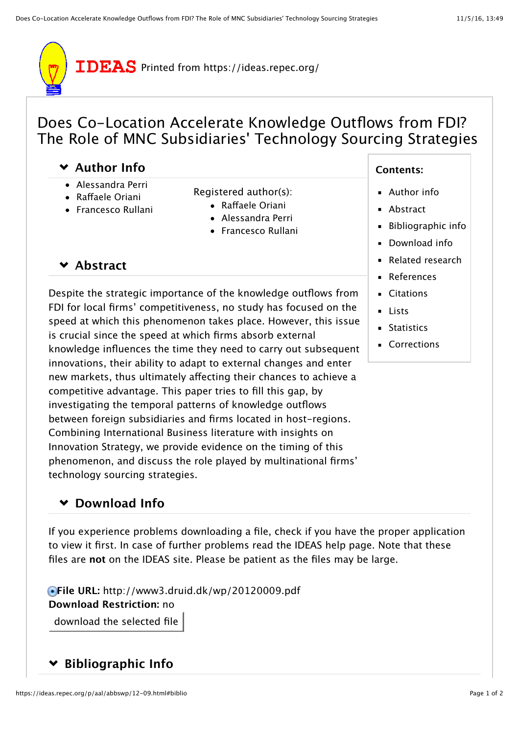

# Does Co-Location Accelerate Knowledge Outflows from FDI? The Role of MNC Subsidiaries' Technology Sourcing Strategies

## **[Author Info](https://ideas.repec.org/p/aal/abbswp/12-09.html#author-body)**

- Alessandra Perri
- Rafaele Oriani
- Francesco Rullani
- [Registered](https://authors.repec.org/) author(s):
	- Raff[aele Oriani](https://ideas.repec.org/e/por55.html)
	- [Alessandra Perri](https://ideas.repec.org/f/ppe583.html)
	- [Francesco Rullani](https://ideas.repec.org/e/pru56.html)

## **[Abstract](https://ideas.repec.org/p/aal/abbswp/12-09.html#abstract-body)**

Despite the strategic importance of the knowledge outflows from FDI for local firms' competitiveness, no study has focused on the speed at which this phenomenon takes place. However, this issue is crucial since the speed at which firms absorb external knowledge influences the time they need to carry out subsequent innovations, their ability to adapt to external changes and enter new markets, thus ultimately afecting their chances to achieve a competitive advantage. This paper tries to fill this gap, by investigating the temporal patterns of knowledge outflows between foreign subsidiaries and firms located in host-regions. Combining International Business literature with insights on Innovation Strategy, we provide evidence on the timing of this phenomenon, and discuss the role played by multinational firms' technology sourcing strategies.

## **[Download Info](https://ideas.repec.org/p/aal/abbswp/12-09.html#download-body)**

If you experience problems downloading a file, check if you have the proper [application](https://ideas.repec.org/viewers.html) to view it first. In case of further problems read [the IDEAS help page](https://ideas.repec.org/help.html). Note that these files are **not** on the IDEAS site. Please be patient as the files may be large.

**File URL:** http://www3.druid.dk/wp/20120009.pdf **Download Restriction:** no download the selected file

## **[Bibliographic Info](https://ideas.repec.org/p/aal/abbswp/12-09.html#biblio-body)**

#### **Contents:**

- [Author info](https://ideas.repec.org/p/aal/abbswp/12-09.html#author)
- **[Abstract](https://ideas.repec.org/p/aal/abbswp/12-09.html#abstract)**
- [Bibliographic info](https://ideas.repec.org/p/aal/abbswp/12-09.html#biblio)
- [Download info](https://ideas.repec.org/p/aal/abbswp/12-09.html#download)
- [Related research](https://ideas.repec.org/p/aal/abbswp/12-09.html#related)
- [References](https://ideas.repec.org/p/aal/abbswp/12-09.html#refs)
- [Citations](https://ideas.repec.org/p/aal/abbswp/12-09.html#cites)
- **[Lists](https://ideas.repec.org/p/aal/abbswp/12-09.html#lists)**
- **[Statistics](https://ideas.repec.org/p/aal/abbswp/12-09.html#statistics)**
- [Corrections](https://ideas.repec.org/p/aal/abbswp/12-09.html#correct)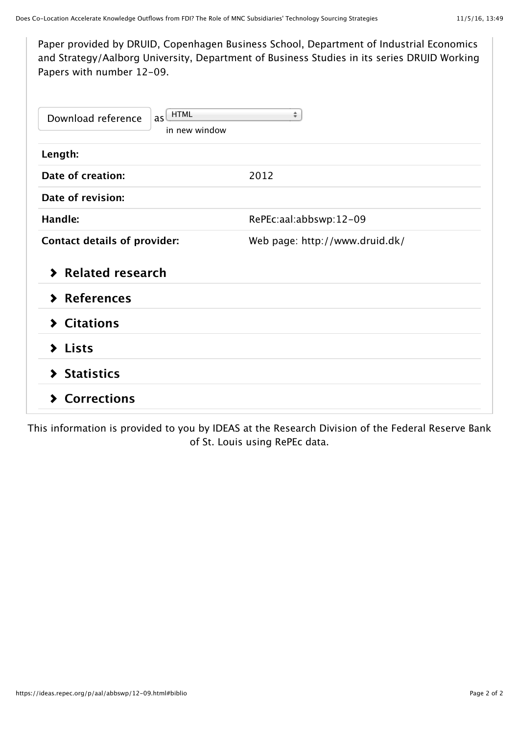| Paper provided by DRUID, Copenhagen Business School, Department of Industrial Economics<br>and Strategy/Aalborg University, Department of Business Studies in its series DRUID Working<br>Papers with number 12-09. |                                |  |  |  |  |  |
|---------------------------------------------------------------------------------------------------------------------------------------------------------------------------------------------------------------------|--------------------------------|--|--|--|--|--|
| as <b>HTML</b><br>Download reference<br>in new window                                                                                                                                                               | ÷                              |  |  |  |  |  |
| Length:                                                                                                                                                                                                             |                                |  |  |  |  |  |
| Date of creation:                                                                                                                                                                                                   | 2012                           |  |  |  |  |  |
| Date of revision:                                                                                                                                                                                                   |                                |  |  |  |  |  |
| Handle:                                                                                                                                                                                                             | RePEc:aal:abbswp:12-09         |  |  |  |  |  |
| <b>Contact details of provider:</b>                                                                                                                                                                                 | Web page: http://www.druid.dk/ |  |  |  |  |  |
| > Related research                                                                                                                                                                                                  |                                |  |  |  |  |  |
| > References                                                                                                                                                                                                        |                                |  |  |  |  |  |
| > Citations                                                                                                                                                                                                         |                                |  |  |  |  |  |
| $\blacktriangleright$ Lists                                                                                                                                                                                         |                                |  |  |  |  |  |
| > Statistics                                                                                                                                                                                                        |                                |  |  |  |  |  |
| <b>Corrections</b><br>⋗                                                                                                                                                                                             |                                |  |  |  |  |  |

This information is provided to yo[u by](http://www.stlouisfed.org/) [IDEAS](http://ideas.repec.org/) [at the R](http://www.stlouisfed.org/)[esearch Division](http://research.stlouisfed.org/) [of the Federal Reserve Bank](http://www.stlouisfed.org/) of St. Louis using [RePEc](http://repec.org/) data.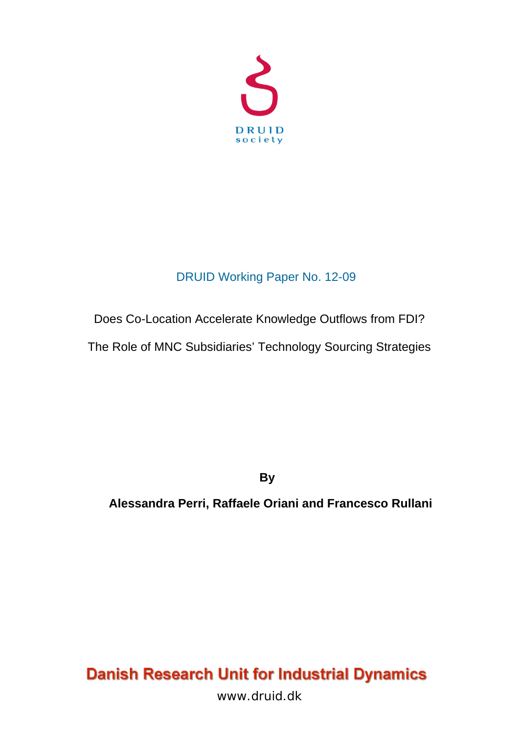

# DRUID Working Paper No. 12-09

# Does Co-Location Accelerate Knowledge Outflows from FDI?

The Role of MNC Subsidiaries' Technology Sourcing Strategies

**By** 

 **Alessandra Perri, Raffaele Oriani and Francesco Rullani** 

# **Danish Research Unit for Industrial Dynamics**

www.druid.dk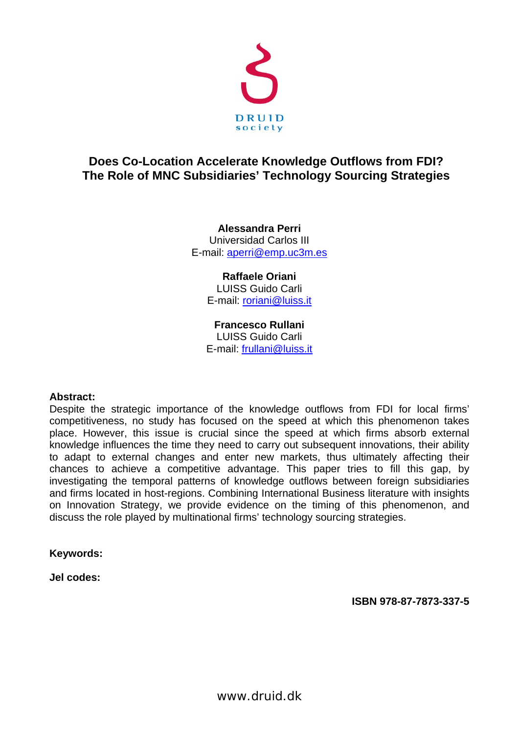

## **Does Co-Location Accelerate Knowledge Outflows from FDI? The Role of MNC Subsidiaries' Technology Sourcing Strategies**

**Alessandra Perri**  Universidad Carlos III E-mail: aperri@emp.uc3m.es

> **Raffaele Oriani**  LUISS Guido Carli E-mail: roriani@luiss.it

**Francesco Rullani**  LUISS Guido Carli E-mail: frullani@luiss.it

#### **Abstract:**

Despite the strategic importance of the knowledge outflows from FDI for local firms' competitiveness, no study has focused on the speed at which this phenomenon takes place. However, this issue is crucial since the speed at which firms absorb external knowledge influences the time they need to carry out subsequent innovations, their ability to adapt to external changes and enter new markets, thus ultimately affecting their chances to achieve a competitive advantage. This paper tries to fill this gap, by investigating the temporal patterns of knowledge outflows between foreign subsidiaries and firms located in host-regions. Combining International Business literature with insights on Innovation Strategy, we provide evidence on the timing of this phenomenon, and discuss the role played by multinational firms' technology sourcing strategies.

**Keywords:** 

**Jel codes:** 

**ISBN 978-87-7873-337-5**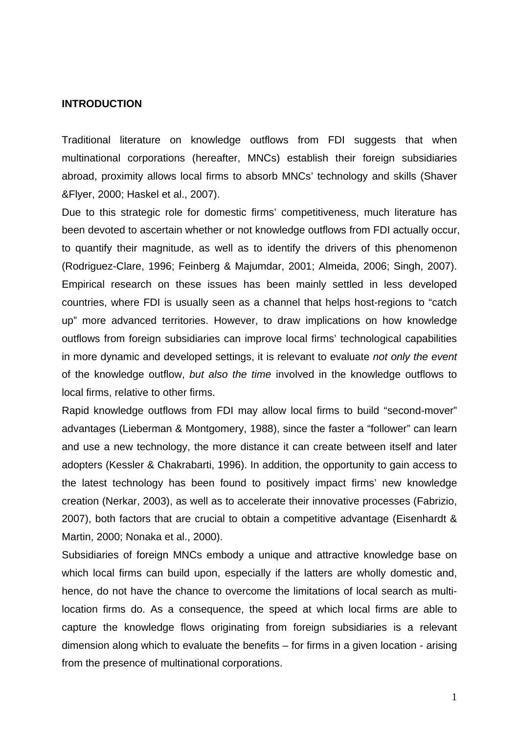#### **INTRODUCTION**

Traditional literature on knowledge outflows from FDI suggests that when multinational corporations (hereafter, MNCs) establish their foreign subsidiaries abroad, proximity allows local firms to absorb MNCs' technology and skills (Shaver &Flyer, 2000; Haskel et al., 2007).

Due to this strategic role for domestic firms' competitiveness, much literature has been devoted to ascertain whether or not knowledge outflows from FDI actually occur, to quantify their magnitude, as well as to identify the drivers of this phenomenon (Rodriguez-Clare, 1996; Feinberg & Majumdar, 2001; Almeida, 2006; Singh, 2007). Empirical research on these issues has been mainly settled in less developed countries, where FDI is usually seen as a channel that helps host-regions to "catch up" more advanced territories. However, to draw implications on how knowledge outflows from foreign subsidiaries can improve local firms' technological capabilities in more dynamic and developed settings, it is relevant to evaluate *not only the event* of the knowledge outflow, *but also the time* involved in the knowledge outflows to local firms, relative to other firms.

Rapid knowledge outflows from FDI may allow local firms to build "second-mover" advantages (Lieberman & Montgomery, 1988), since the faster a "follower" can learn and use a new technology, the more distance it can create between itself and later adopters (Kessler & Chakrabarti, 1996). In addition, the opportunity to gain access to the latest technology has been found to positively impact firms' new knowledge creation (Nerkar, 2003), as well as to accelerate their innovative processes (Fabrizio, 2007), both factors that are crucial to obtain a competitive advantage (Eisenhardt & Martin, 2000; Nonaka et al., 2000).

Subsidiaries of foreign MNCs embody a unique and attractive knowledge base on which local firms can build upon, especially if the latters are wholly domestic and, hence, do not have the chance to overcome the limitations of local search as multilocation firms do. As a consequence, the speed at which local firms are able to capture the knowledge flows originating from foreign subsidiaries is a relevant dimension along which to evaluate the benefits – for firms in a given location - arising from the presence of multinational corporations.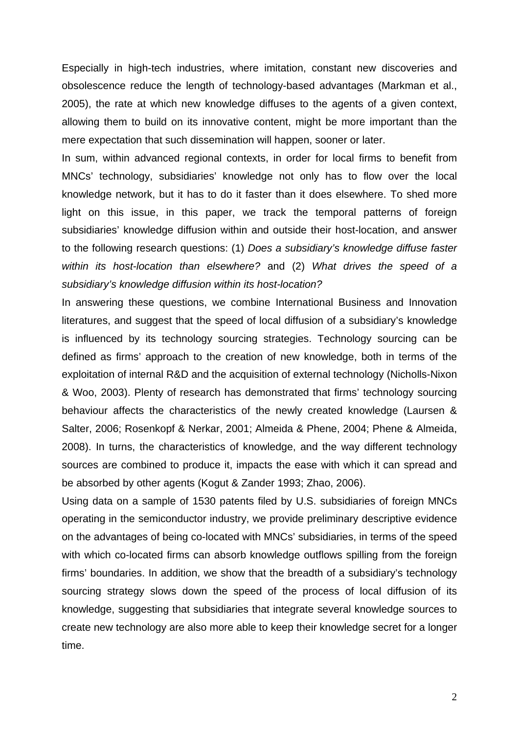Especially in high-tech industries, where imitation, constant new discoveries and obsolescence reduce the length of technology-based advantages (Markman et al., 2005), the rate at which new knowledge diffuses to the agents of a given context, allowing them to build on its innovative content, might be more important than the mere expectation that such dissemination will happen, sooner or later.

In sum, within advanced regional contexts, in order for local firms to benefit from MNCs' technology, subsidiaries' knowledge not only has to flow over the local knowledge network, but it has to do it faster than it does elsewhere. To shed more light on this issue, in this paper, we track the temporal patterns of foreign subsidiaries' knowledge diffusion within and outside their host-location, and answer to the following research questions: (1) *Does a subsidiary's knowledge diffuse faster within its host-location than elsewhere?* and (2) *What drives the speed of a subsidiary's knowledge diffusion within its host-location?*

In answering these questions, we combine International Business and Innovation literatures, and suggest that the speed of local diffusion of a subsidiary's knowledge is influenced by its technology sourcing strategies. Technology sourcing can be defined as firms' approach to the creation of new knowledge, both in terms of the exploitation of internal R&D and the acquisition of external technology (Nicholls-Nixon & Woo, 2003). Plenty of research has demonstrated that firms' technology sourcing behaviour affects the characteristics of the newly created knowledge (Laursen & Salter, 2006; Rosenkopf & Nerkar, 2001; Almeida & Phene, 2004; Phene & Almeida, 2008). In turns, the characteristics of knowledge, and the way different technology sources are combined to produce it, impacts the ease with which it can spread and be absorbed by other agents (Kogut & Zander 1993; Zhao, 2006).

Using data on a sample of 1530 patents filed by U.S. subsidiaries of foreign MNCs operating in the semiconductor industry, we provide preliminary descriptive evidence on the advantages of being co-located with MNCs' subsidiaries, in terms of the speed with which co-located firms can absorb knowledge outflows spilling from the foreign firms' boundaries. In addition, we show that the breadth of a subsidiary's technology sourcing strategy slows down the speed of the process of local diffusion of its knowledge, suggesting that subsidiaries that integrate several knowledge sources to create new technology are also more able to keep their knowledge secret for a longer time.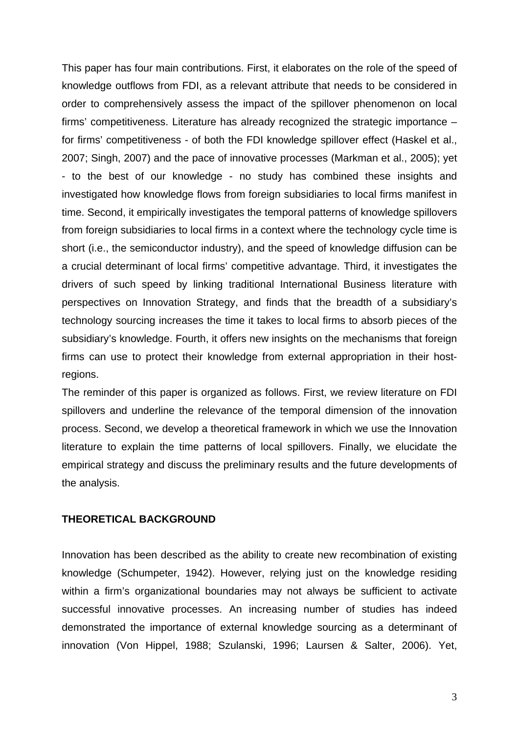This paper has four main contributions. First, it elaborates on the role of the speed of knowledge outflows from FDI, as a relevant attribute that needs to be considered in order to comprehensively assess the impact of the spillover phenomenon on local firms' competitiveness. Literature has already recognized the strategic importance – for firms' competitiveness - of both the FDI knowledge spillover effect (Haskel et al., 2007; Singh, 2007) and the pace of innovative processes (Markman et al., 2005); yet - to the best of our knowledge - no study has combined these insights and investigated how knowledge flows from foreign subsidiaries to local firms manifest in time. Second, it empirically investigates the temporal patterns of knowledge spillovers from foreign subsidiaries to local firms in a context where the technology cycle time is short (i.e., the semiconductor industry), and the speed of knowledge diffusion can be a crucial determinant of local firms' competitive advantage. Third, it investigates the drivers of such speed by linking traditional International Business literature with perspectives on Innovation Strategy, and finds that the breadth of a subsidiary's technology sourcing increases the time it takes to local firms to absorb pieces of the subsidiary's knowledge. Fourth, it offers new insights on the mechanisms that foreign firms can use to protect their knowledge from external appropriation in their hostregions.

The reminder of this paper is organized as follows. First, we review literature on FDI spillovers and underline the relevance of the temporal dimension of the innovation process. Second, we develop a theoretical framework in which we use the Innovation literature to explain the time patterns of local spillovers. Finally, we elucidate the empirical strategy and discuss the preliminary results and the future developments of the analysis.

#### **THEORETICAL BACKGROUND**

Innovation has been described as the ability to create new recombination of existing knowledge (Schumpeter, 1942). However, relying just on the knowledge residing within a firm's organizational boundaries may not always be sufficient to activate successful innovative processes. An increasing number of studies has indeed demonstrated the importance of external knowledge sourcing as a determinant of innovation (Von Hippel, 1988; Szulanski, 1996; Laursen & Salter, 2006). Yet,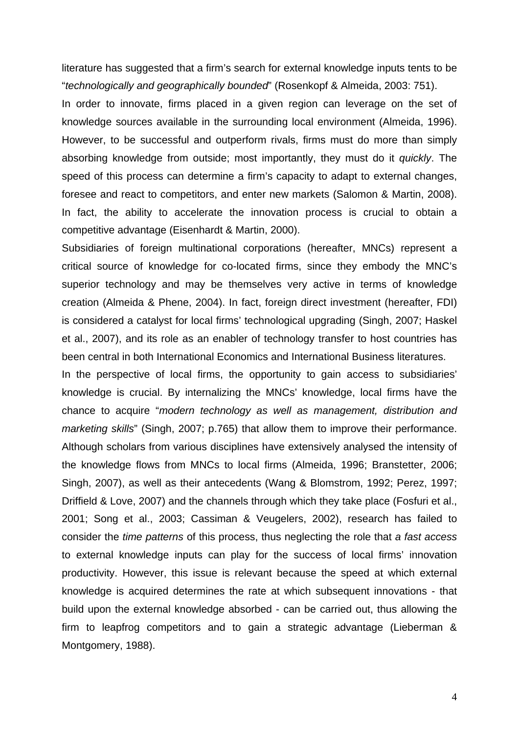literature has suggested that a firm's search for external knowledge inputs tents to be "*technologically and geographically bounded*" (Rosenkopf & Almeida, 2003: 751).

In order to innovate, firms placed in a given region can leverage on the set of knowledge sources available in the surrounding local environment (Almeida, 1996). However, to be successful and outperform rivals, firms must do more than simply absorbing knowledge from outside; most importantly, they must do it *quickly*. The speed of this process can determine a firm's capacity to adapt to external changes, foresee and react to competitors, and enter new markets (Salomon & Martin, 2008). In fact, the ability to accelerate the innovation process is crucial to obtain a competitive advantage (Eisenhardt & Martin, 2000).

Subsidiaries of foreign multinational corporations (hereafter, MNCs) represent a critical source of knowledge for co-located firms, since they embody the MNC's superior technology and may be themselves very active in terms of knowledge creation (Almeida & Phene, 2004). In fact, foreign direct investment (hereafter, FDI) is considered a catalyst for local firms' technological upgrading (Singh, 2007; Haskel et al., 2007), and its role as an enabler of technology transfer to host countries has been central in both International Economics and International Business literatures.

In the perspective of local firms, the opportunity to gain access to subsidiaries' knowledge is crucial. By internalizing the MNCs' knowledge, local firms have the chance to acquire "*modern technology as well as management, distribution and marketing skills*" (Singh, 2007; p.765) that allow them to improve their performance. Although scholars from various disciplines have extensively analysed the intensity of the knowledge flows from MNCs to local firms (Almeida, 1996; Branstetter, 2006; Singh, 2007), as well as their antecedents (Wang & Blomstrom, 1992; Perez, 1997; Driffield & Love, 2007) and the channels through which they take place (Fosfuri et al., 2001; Song et al., 2003; Cassiman & Veugelers, 2002), research has failed to consider the *time patterns* of this process, thus neglecting the role that *a fast access*  to external knowledge inputs can play for the success of local firms' innovation productivity. However, this issue is relevant because the speed at which external knowledge is acquired determines the rate at which subsequent innovations - that build upon the external knowledge absorbed - can be carried out, thus allowing the firm to leapfrog competitors and to gain a strategic advantage (Lieberman & Montgomery, 1988).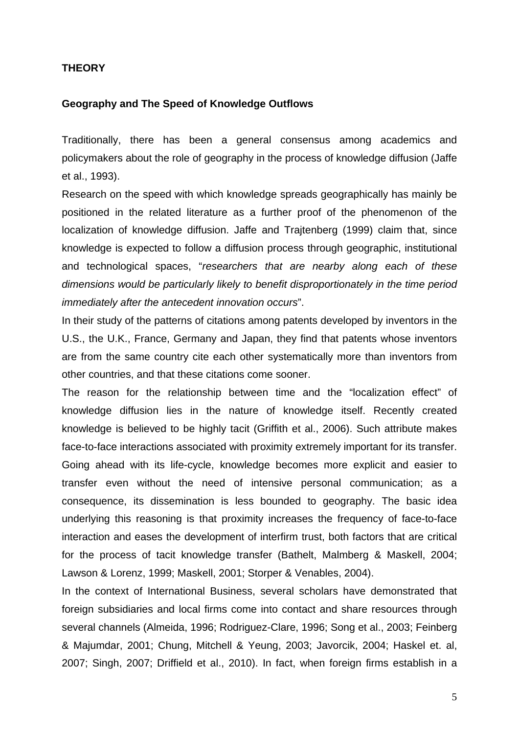#### **THEORY**

#### **Geography and The Speed of Knowledge Outflows**

Traditionally, there has been a general consensus among academics and policymakers about the role of geography in the process of knowledge diffusion (Jaffe et al., 1993).

Research on the speed with which knowledge spreads geographically has mainly be positioned in the related literature as a further proof of the phenomenon of the localization of knowledge diffusion. Jaffe and Trajtenberg (1999) claim that, since knowledge is expected to follow a diffusion process through geographic, institutional and technological spaces, "*researchers that are nearby along each of these dimensions would be particularly likely to benefit disproportionately in the time period immediately after the antecedent innovation occurs*".

In their study of the patterns of citations among patents developed by inventors in the U.S., the U.K., France, Germany and Japan, they find that patents whose inventors are from the same country cite each other systematically more than inventors from other countries, and that these citations come sooner.

The reason for the relationship between time and the "localization effect" of knowledge diffusion lies in the nature of knowledge itself. Recently created knowledge is believed to be highly tacit (Griffith et al., 2006). Such attribute makes face-to-face interactions associated with proximity extremely important for its transfer. Going ahead with its life-cycle, knowledge becomes more explicit and easier to transfer even without the need of intensive personal communication; as a consequence, its dissemination is less bounded to geography. The basic idea underlying this reasoning is that proximity increases the frequency of face-to-face interaction and eases the development of interfirm trust, both factors that are critical for the process of tacit knowledge transfer (Bathelt, Malmberg & Maskell, 2004; Lawson & Lorenz, 1999; Maskell, 2001; Storper & Venables, 2004).

In the context of International Business, several scholars have demonstrated that foreign subsidiaries and local firms come into contact and share resources through several channels (Almeida, 1996; Rodriguez-Clare, 1996; Song et al., 2003; Feinberg & Majumdar, 2001; Chung, Mitchell & Yeung, 2003; Javorcik, 2004; Haskel et. al, 2007; Singh, 2007; Driffield et al., 2010). In fact, when foreign firms establish in a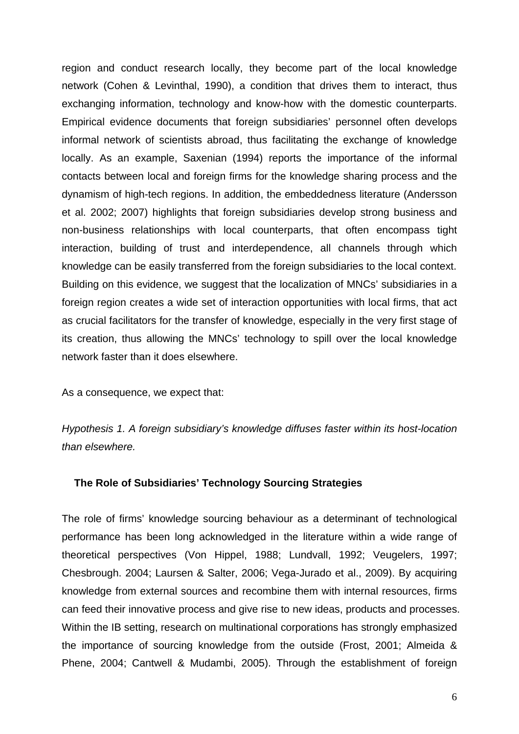region and conduct research locally, they become part of the local knowledge network (Cohen & Levinthal, 1990), a condition that drives them to interact, thus exchanging information, technology and know-how with the domestic counterparts. Empirical evidence documents that foreign subsidiaries' personnel often develops informal network of scientists abroad, thus facilitating the exchange of knowledge locally. As an example, Saxenian (1994) reports the importance of the informal contacts between local and foreign firms for the knowledge sharing process and the dynamism of high-tech regions. In addition, the embeddedness literature (Andersson et al. 2002; 2007) highlights that foreign subsidiaries develop strong business and non-business relationships with local counterparts, that often encompass tight interaction, building of trust and interdependence, all channels through which knowledge can be easily transferred from the foreign subsidiaries to the local context. Building on this evidence, we suggest that the localization of MNCs' subsidiaries in a foreign region creates a wide set of interaction opportunities with local firms, that act as crucial facilitators for the transfer of knowledge, especially in the very first stage of its creation, thus allowing the MNCs' technology to spill over the local knowledge network faster than it does elsewhere.

As a consequence, we expect that:

*Hypothesis 1. A foreign subsidiary's knowledge diffuses faster within its host-location than elsewhere.* 

#### **The Role of Subsidiaries' Technology Sourcing Strategies**

The role of firms' knowledge sourcing behaviour as a determinant of technological performance has been long acknowledged in the literature within a wide range of theoretical perspectives (Von Hippel, 1988; Lundvall, 1992; Veugelers, 1997; Chesbrough. 2004; Laursen & Salter, 2006; Vega-Jurado et al., 2009). By acquiring knowledge from external sources and recombine them with internal resources, firms can feed their innovative process and give rise to new ideas, products and processes. Within the IB setting, research on multinational corporations has strongly emphasized the importance of sourcing knowledge from the outside (Frost, 2001; Almeida & Phene, 2004; Cantwell & Mudambi, 2005). Through the establishment of foreign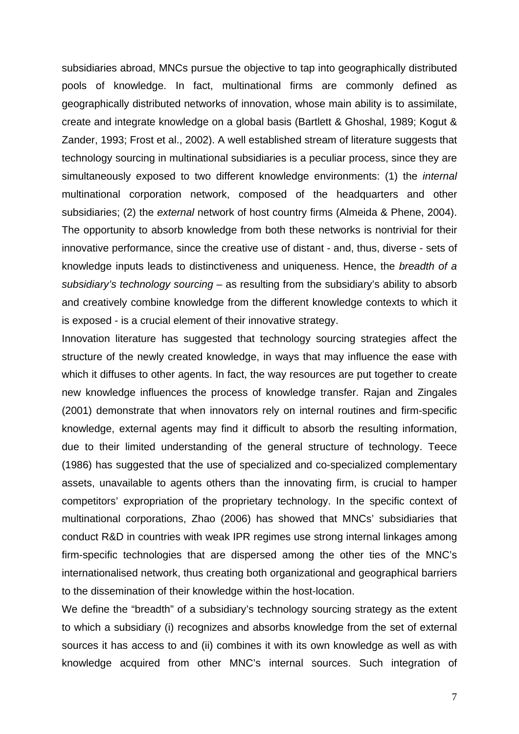subsidiaries abroad, MNCs pursue the objective to tap into geographically distributed pools of knowledge. In fact, multinational firms are commonly defined as geographically distributed networks of innovation, whose main ability is to assimilate, create and integrate knowledge on a global basis (Bartlett & Ghoshal, 1989; Kogut & Zander, 1993; Frost et al., 2002). A well established stream of literature suggests that technology sourcing in multinational subsidiaries is a peculiar process, since they are simultaneously exposed to two different knowledge environments: (1) the *internal* multinational corporation network, composed of the headquarters and other subsidiaries; (2) the *external* network of host country firms (Almeida & Phene, 2004). The opportunity to absorb knowledge from both these networks is nontrivial for their innovative performance, since the creative use of distant - and, thus, diverse - sets of knowledge inputs leads to distinctiveness and uniqueness. Hence, the *breadth of a subsidiary's technology sourcing* – as resulting from the subsidiary's ability to absorb and creatively combine knowledge from the different knowledge contexts to which it is exposed - is a crucial element of their innovative strategy.

Innovation literature has suggested that technology sourcing strategies affect the structure of the newly created knowledge, in ways that may influence the ease with which it diffuses to other agents. In fact, the way resources are put together to create new knowledge influences the process of knowledge transfer. Rajan and Zingales (2001) demonstrate that when innovators rely on internal routines and firm-specific knowledge, external agents may find it difficult to absorb the resulting information, due to their limited understanding of the general structure of technology. Teece (1986) has suggested that the use of specialized and co-specialized complementary assets, unavailable to agents others than the innovating firm, is crucial to hamper competitors' expropriation of the proprietary technology. In the specific context of multinational corporations, Zhao (2006) has showed that MNCs' subsidiaries that conduct R&D in countries with weak IPR regimes use strong internal linkages among firm-specific technologies that are dispersed among the other ties of the MNC's internationalised network, thus creating both organizational and geographical barriers to the dissemination of their knowledge within the host-location.

We define the "breadth" of a subsidiary's technology sourcing strategy as the extent to which a subsidiary (i) recognizes and absorbs knowledge from the set of external sources it has access to and (ii) combines it with its own knowledge as well as with knowledge acquired from other MNC's internal sources. Such integration of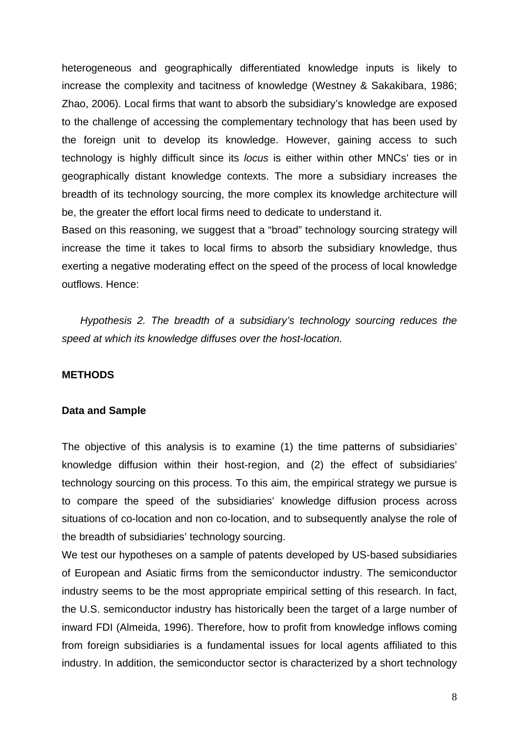heterogeneous and geographically differentiated knowledge inputs is likely to increase the complexity and tacitness of knowledge (Westney & Sakakibara, 1986; Zhao, 2006). Local firms that want to absorb the subsidiary's knowledge are exposed to the challenge of accessing the complementary technology that has been used by the foreign unit to develop its knowledge. However, gaining access to such technology is highly difficult since its *locus* is either within other MNCs' ties or in geographically distant knowledge contexts. The more a subsidiary increases the breadth of its technology sourcing, the more complex its knowledge architecture will be, the greater the effort local firms need to dedicate to understand it.

Based on this reasoning, we suggest that a "broad" technology sourcing strategy will increase the time it takes to local firms to absorb the subsidiary knowledge, thus exerting a negative moderating effect on the speed of the process of local knowledge outflows. Hence:

*Hypothesis 2. The breadth of a subsidiary's technology sourcing reduces the speed at which its knowledge diffuses over the host-location.* 

#### **METHODS**

#### **Data and Sample**

The objective of this analysis is to examine (1) the time patterns of subsidiaries' knowledge diffusion within their host-region, and (2) the effect of subsidiaries' technology sourcing on this process. To this aim, the empirical strategy we pursue is to compare the speed of the subsidiaries' knowledge diffusion process across situations of co-location and non co-location, and to subsequently analyse the role of the breadth of subsidiaries' technology sourcing.

We test our hypotheses on a sample of patents developed by US-based subsidiaries of European and Asiatic firms from the semiconductor industry. The semiconductor industry seems to be the most appropriate empirical setting of this research. In fact, the U.S. semiconductor industry has historically been the target of a large number of inward FDI (Almeida, 1996). Therefore, how to profit from knowledge inflows coming from foreign subsidiaries is a fundamental issues for local agents affiliated to this industry. In addition, the semiconductor sector is characterized by a short technology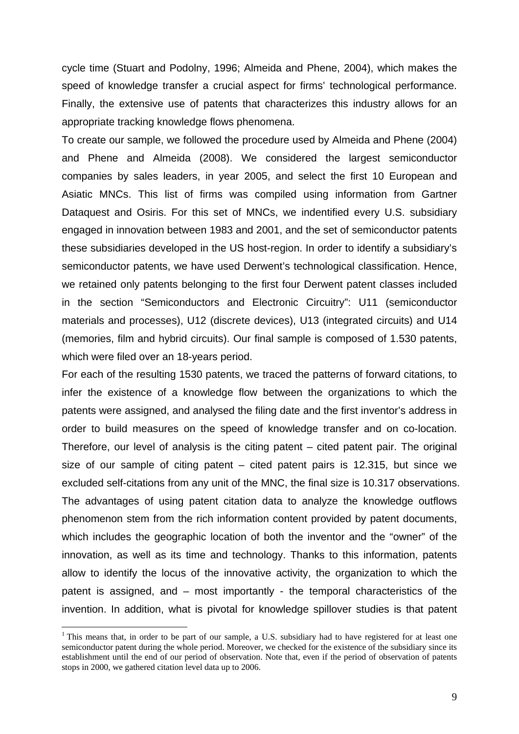cycle time (Stuart and Podolny, 1996; Almeida and Phene, 2004), which makes the speed of knowledge transfer a crucial aspect for firms' technological performance. Finally, the extensive use of patents that characterizes this industry allows for an appropriate tracking knowledge flows phenomena.

To create our sample, we followed the procedure used by Almeida and Phene (2004) and Phene and Almeida (2008). We considered the largest semiconductor companies by sales leaders, in year 2005, and select the first 10 European and Asiatic MNCs. This list of firms was compiled using information from Gartner Dataquest and Osiris. For this set of MNCs, we indentified every U.S. subsidiary engaged in innovation between 1983 and 2001, and the set of semiconductor patents these subsidiaries developed in the US host-region. In order to identify a subsidiary's semiconductor patents, we have used Derwent's technological classification. Hence, we retained only patents belonging to the first four Derwent patent classes included in the section "Semiconductors and Electronic Circuitry": U11 (semiconductor materials and processes), U12 (discrete devices), U13 (integrated circuits) and U14 (memories, film and hybrid circuits). Our final sample is composed of 1.530 patents, which were filed over an 18-years period.

For each of the resulting 1530 patents, we traced the patterns of forward citations, to infer the existence of a knowledge flow between the organizations to which the patents were assigned, and analysed the filing date and the first inventor's address in order to build measures on the speed of knowledge transfer and on co-location. Therefore, our level of analysis is the citing patent – cited patent pair. The original size of our sample of citing patent  $-$  cited patent pairs is 12.315, but since we excluded self-citations from any unit of the MNC, the final size is 10.317 observations. The advantages of using patent citation data to analyze the knowledge outflows phenomenon stem from the rich information content provided by patent documents, which includes the geographic location of both the inventor and the "owner" of the innovation, as well as its time and technology. Thanks to this information, patents allow to identify the locus of the innovative activity, the organization to which the patent is assigned, and – most importantly - the temporal characteristics of the invention. In addition, what is pivotal for knowledge spillover studies is that patent

<sup>&</sup>lt;sup>1</sup> This means that, in order to be part of our sample, a U.S. subsidiary had to have registered for at least one semiconductor patent during the whole period. Moreover, we checked for the existence of the subsidiary since its establishment until the end of our period of observation. Note that, even if the period of observation of patents stops in 2000, we gathered citation level data up to 2006.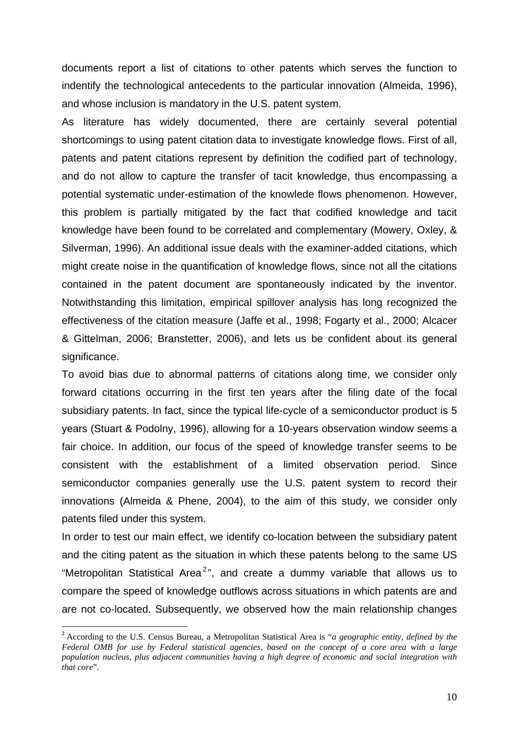documents report a list of citations to other patents which serves the function to indentify the technological antecedents to the particular innovation (Almeida, 1996), and whose inclusion is mandatory in the U.S. patent system.

As literature has widely documented, there are certainly several potential shortcomings to using patent citation data to investigate knowledge flows. First of all, patents and patent citations represent by definition the codified part of technology, and do not allow to capture the transfer of tacit knowledge, thus encompassing a potential systematic under-estimation of the knowlede flows phenomenon. However, this problem is partially mitigated by the fact that codified knowledge and tacit knowledge have been found to be correlated and complementary (Mowery, Oxley, & Silverman, 1996). An additional issue deals with the examiner-added citations, which might create noise in the quantification of knowledge flows, since not all the citations contained in the patent document are spontaneously indicated by the inventor. Notwithstanding this limitation, empirical spillover analysis has long recognized the effectiveness of the citation measure (Jaffe et al., 1998; Fogarty et al., 2000; Alcacer & Gittelman, 2006; Branstetter, 2006), and lets us be confident about its general significance.

To avoid bias due to abnormal patterns of citations along time, we consider only forward citations occurring in the first ten years after the filing date of the focal subsidiary patents. In fact, since the typical life-cycle of a semiconductor product is 5 years (Stuart & Podolny, 1996), allowing for a 10-years observation window seems a fair choice. In addition, our focus of the speed of knowledge transfer seems to be consistent with the establishment of a limited observation period. Since semiconductor companies generally use the U.S. patent system to record their innovations (Almeida & Phene, 2004), to the aim of this study, we consider only patents filed under this system.

In order to test our main effect, we identify co-location between the subsidiary patent and the citing patent as the situation in which these patents belong to the same US "Metropolitan Statistical Area<sup>2</sup>", and create a dummy variable that allows us to compare the speed of knowledge outflows across situations in which patents are and are not co-located. Subsequently, we observed how the main relationship changes

<sup>2</sup> According to the U.S. Census Bureau, a Metropolitan Statistical Area is "*a geographic entity, defined by the Federal OMB for use by Federal statistical agencies, based on the concept of a core area with a large population nucleus, plus adjacent communities having a high degree of economic and social integration with that core*".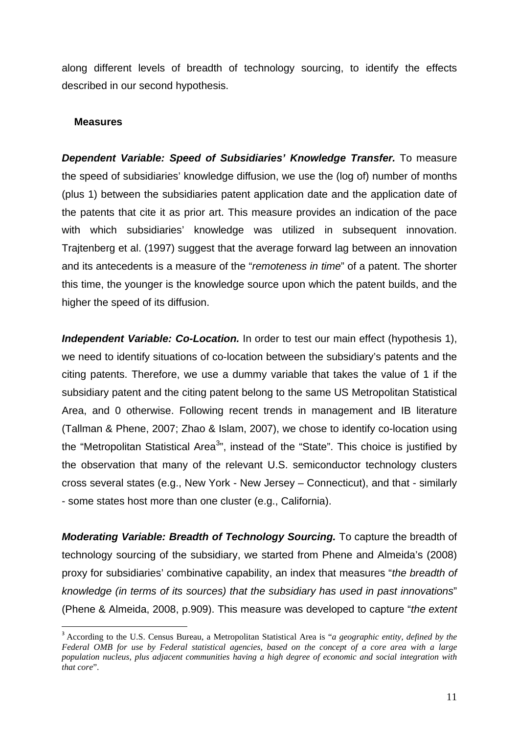along different levels of breadth of technology sourcing, to identify the effects described in our second hypothesis.

#### **Measures**

1

*Dependent Variable: Speed of Subsidiaries' Knowledge Transfer.* To measure the speed of subsidiaries' knowledge diffusion, we use the (log of) number of months (plus 1) between the subsidiaries patent application date and the application date of the patents that cite it as prior art. This measure provides an indication of the pace with which subsidiaries' knowledge was utilized in subsequent innovation. Trajtenberg et al. (1997) suggest that the average forward lag between an innovation and its antecedents is a measure of the "*remoteness in time*" of a patent. The shorter this time, the younger is the knowledge source upon which the patent builds, and the higher the speed of its diffusion.

*Independent Variable: Co-Location.* In order to test our main effect (hypothesis 1), we need to identify situations of co-location between the subsidiary's patents and the citing patents. Therefore, we use a dummy variable that takes the value of 1 if the subsidiary patent and the citing patent belong to the same US Metropolitan Statistical Area, and 0 otherwise. Following recent trends in management and IB literature (Tallman & Phene, 2007; Zhao & Islam, 2007), we chose to identify co-location using the "Metropolitan Statistical Area<sup>3</sup>", instead of the "State". This choice is justified by the observation that many of the relevant U.S. semiconductor technology clusters cross several states (e.g., New York - New Jersey – Connecticut), and that - similarly - some states host more than one cluster (e.g., California).

*Moderating Variable: Breadth of Technology Sourcing.* To capture the breadth of technology sourcing of the subsidiary, we started from Phene and Almeida's (2008) proxy for subsidiaries' combinative capability, an index that measures "*the breadth of knowledge (in terms of its sources) that the subsidiary has used in past innovations*" (Phene & Almeida, 2008, p.909). This measure was developed to capture "*the extent* 

<sup>3</sup> According to the U.S. Census Bureau, a Metropolitan Statistical Area is "*a geographic entity, defined by the Federal OMB for use by Federal statistical agencies, based on the concept of a core area with a large population nucleus, plus adjacent communities having a high degree of economic and social integration with that core*".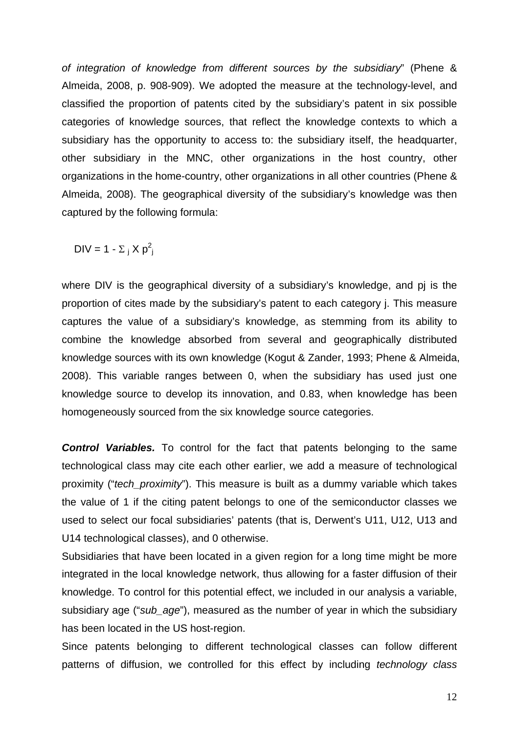*of integration of knowledge from different sources by the subsidiary*" (Phene & Almeida, 2008, p. 908-909). We adopted the measure at the technology-level, and classified the proportion of patents cited by the subsidiary's patent in six possible categories of knowledge sources, that reflect the knowledge contexts to which a subsidiary has the opportunity to access to: the subsidiary itself, the headquarter, other subsidiary in the MNC, other organizations in the host country, other organizations in the home-country, other organizations in all other countries (Phene & Almeida, 2008). The geographical diversity of the subsidiary's knowledge was then captured by the following formula:

DIV = 1 -  $\Sigma_j X p_j^2$ 

where DIV is the geographical diversity of a subsidiary's knowledge, and pj is the proportion of cites made by the subsidiary's patent to each category j. This measure captures the value of a subsidiary's knowledge, as stemming from its ability to combine the knowledge absorbed from several and geographically distributed knowledge sources with its own knowledge (Kogut & Zander, 1993; Phene & Almeida, 2008). This variable ranges between 0, when the subsidiary has used just one knowledge source to develop its innovation, and 0.83, when knowledge has been homogeneously sourced from the six knowledge source categories.

**Control Variables.** To control for the fact that patents belonging to the same technological class may cite each other earlier, we add a measure of technological proximity ("*tech\_proximity*"). This measure is built as a dummy variable which takes the value of 1 if the citing patent belongs to one of the semiconductor classes we used to select our focal subsidiaries' patents (that is, Derwent's U11, U12, U13 and U14 technological classes), and 0 otherwise.

Subsidiaries that have been located in a given region for a long time might be more integrated in the local knowledge network, thus allowing for a faster diffusion of their knowledge. To control for this potential effect, we included in our analysis a variable, subsidiary age ("*sub\_age*"), measured as the number of year in which the subsidiary has been located in the US host-region.

Since patents belonging to different technological classes can follow different patterns of diffusion, we controlled for this effect by including *technology class*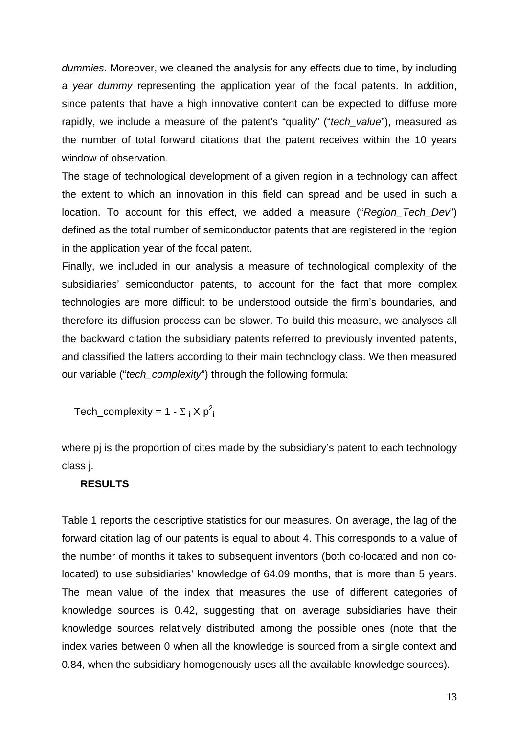*dummies*. Moreover, we cleaned the analysis for any effects due to time, by including a *year dummy* representing the application year of the focal patents. In addition, since patents that have a high innovative content can be expected to diffuse more rapidly, we include a measure of the patent's "quality" ("*tech\_value*"), measured as the number of total forward citations that the patent receives within the 10 years window of observation.

The stage of technological development of a given region in a technology can affect the extent to which an innovation in this field can spread and be used in such a location. To account for this effect, we added a measure ("*Region\_Tech\_Dev*") defined as the total number of semiconductor patents that are registered in the region in the application year of the focal patent.

Finally, we included in our analysis a measure of technological complexity of the subsidiaries' semiconductor patents, to account for the fact that more complex technologies are more difficult to be understood outside the firm's boundaries, and therefore its diffusion process can be slower. To build this measure, we analyses all the backward citation the subsidiary patents referred to previously invented patents, and classified the latters according to their main technology class. We then measured our variable ("*tech\_complexity*") through the following formula:

Tech\_complexity = 1 -  $\Sigma_j$  X  $p_j^2$ 

where pj is the proportion of cites made by the subsidiary's patent to each technology class j.

#### **RESULTS**

Table 1 reports the descriptive statistics for our measures. On average, the lag of the forward citation lag of our patents is equal to about 4. This corresponds to a value of the number of months it takes to subsequent inventors (both co-located and non colocated) to use subsidiaries' knowledge of 64.09 months, that is more than 5 years. The mean value of the index that measures the use of different categories of knowledge sources is 0.42, suggesting that on average subsidiaries have their knowledge sources relatively distributed among the possible ones (note that the index varies between 0 when all the knowledge is sourced from a single context and 0.84, when the subsidiary homogenously uses all the available knowledge sources).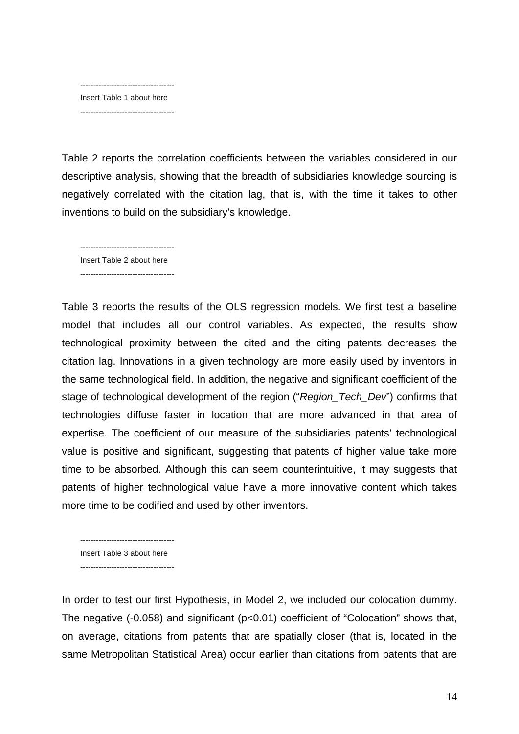------------------------------------ Insert Table 1 about here ------------------------------------

Table 2 reports the correlation coefficients between the variables considered in our descriptive analysis, showing that the breadth of subsidiaries knowledge sourcing is negatively correlated with the citation lag, that is, with the time it takes to other inventions to build on the subsidiary's knowledge.

------------------------------------ Insert Table 2 about here ------------------------------------

Table 3 reports the results of the OLS regression models. We first test a baseline model that includes all our control variables. As expected, the results show technological proximity between the cited and the citing patents decreases the citation lag. Innovations in a given technology are more easily used by inventors in the same technological field. In addition, the negative and significant coefficient of the stage of technological development of the region ("*Region\_Tech\_Dev*") confirms that technologies diffuse faster in location that are more advanced in that area of expertise. The coefficient of our measure of the subsidiaries patents' technological value is positive and significant, suggesting that patents of higher value take more time to be absorbed. Although this can seem counterintuitive, it may suggests that patents of higher technological value have a more innovative content which takes more time to be codified and used by other inventors.

 $-$ Insert Table 3 about here ------------------------------------

In order to test our first Hypothesis, in Model 2, we included our colocation dummy. The negative (-0.058) and significant (p<0.01) coefficient of "Colocation" shows that, on average, citations from patents that are spatially closer (that is, located in the same Metropolitan Statistical Area) occur earlier than citations from patents that are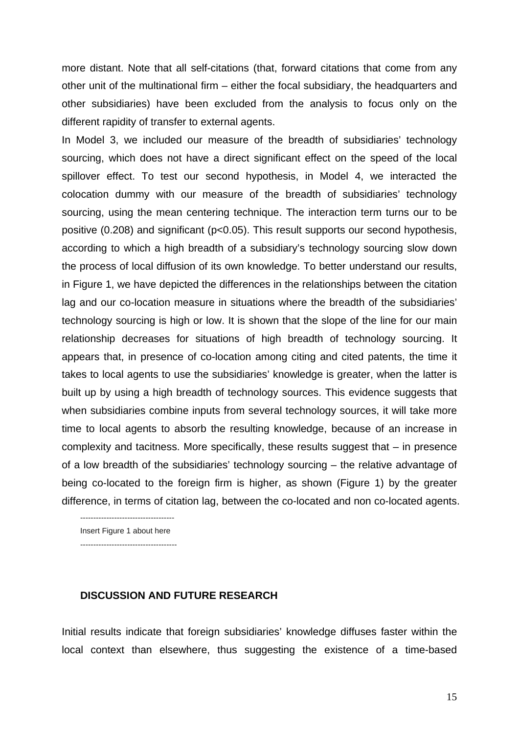more distant. Note that all self-citations (that, forward citations that come from any other unit of the multinational firm – either the focal subsidiary, the headquarters and other subsidiaries) have been excluded from the analysis to focus only on the different rapidity of transfer to external agents.

In Model 3, we included our measure of the breadth of subsidiaries' technology sourcing, which does not have a direct significant effect on the speed of the local spillover effect. To test our second hypothesis, in Model 4, we interacted the colocation dummy with our measure of the breadth of subsidiaries' technology sourcing, using the mean centering technique. The interaction term turns our to be positive (0.208) and significant (p<0.05). This result supports our second hypothesis, according to which a high breadth of a subsidiary's technology sourcing slow down the process of local diffusion of its own knowledge. To better understand our results, in Figure 1, we have depicted the differences in the relationships between the citation lag and our co-location measure in situations where the breadth of the subsidiaries' technology sourcing is high or low. It is shown that the slope of the line for our main relationship decreases for situations of high breadth of technology sourcing. It appears that, in presence of co-location among citing and cited patents, the time it takes to local agents to use the subsidiaries' knowledge is greater, when the latter is built up by using a high breadth of technology sources. This evidence suggests that when subsidiaries combine inputs from several technology sources, it will take more time to local agents to absorb the resulting knowledge, because of an increase in complexity and tacitness. More specifically, these results suggest that – in presence of a low breadth of the subsidiaries' technology sourcing – the relative advantage of being co-located to the foreign firm is higher, as shown (Figure 1) by the greater difference, in terms of citation lag, between the co-located and non co-located agents.

Insert Figure 1 about here -------------------------------------

------------------------------------

#### **DISCUSSION AND FUTURE RESEARCH**

Initial results indicate that foreign subsidiaries' knowledge diffuses faster within the local context than elsewhere, thus suggesting the existence of a time-based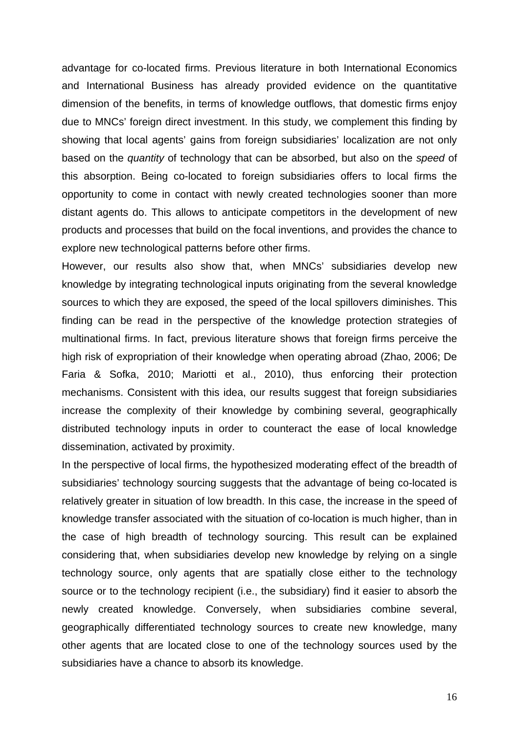advantage for co-located firms. Previous literature in both International Economics and International Business has already provided evidence on the quantitative dimension of the benefits, in terms of knowledge outflows, that domestic firms enjoy due to MNCs' foreign direct investment. In this study, we complement this finding by showing that local agents' gains from foreign subsidiaries' localization are not only based on the *quantity* of technology that can be absorbed, but also on the *speed* of this absorption. Being co-located to foreign subsidiaries offers to local firms the opportunity to come in contact with newly created technologies sooner than more distant agents do. This allows to anticipate competitors in the development of new products and processes that build on the focal inventions, and provides the chance to explore new technological patterns before other firms.

However, our results also show that, when MNCs' subsidiaries develop new knowledge by integrating technological inputs originating from the several knowledge sources to which they are exposed, the speed of the local spillovers diminishes. This finding can be read in the perspective of the knowledge protection strategies of multinational firms. In fact, previous literature shows that foreign firms perceive the high risk of expropriation of their knowledge when operating abroad (Zhao, 2006; De Faria & Sofka, 2010; Mariotti et al., 2010), thus enforcing their protection mechanisms. Consistent with this idea, our results suggest that foreign subsidiaries increase the complexity of their knowledge by combining several, geographically distributed technology inputs in order to counteract the ease of local knowledge dissemination, activated by proximity.

In the perspective of local firms, the hypothesized moderating effect of the breadth of subsidiaries' technology sourcing suggests that the advantage of being co-located is relatively greater in situation of low breadth. In this case, the increase in the speed of knowledge transfer associated with the situation of co-location is much higher, than in the case of high breadth of technology sourcing. This result can be explained considering that, when subsidiaries develop new knowledge by relying on a single technology source, only agents that are spatially close either to the technology source or to the technology recipient (i.e., the subsidiary) find it easier to absorb the newly created knowledge. Conversely, when subsidiaries combine several, geographically differentiated technology sources to create new knowledge, many other agents that are located close to one of the technology sources used by the subsidiaries have a chance to absorb its knowledge.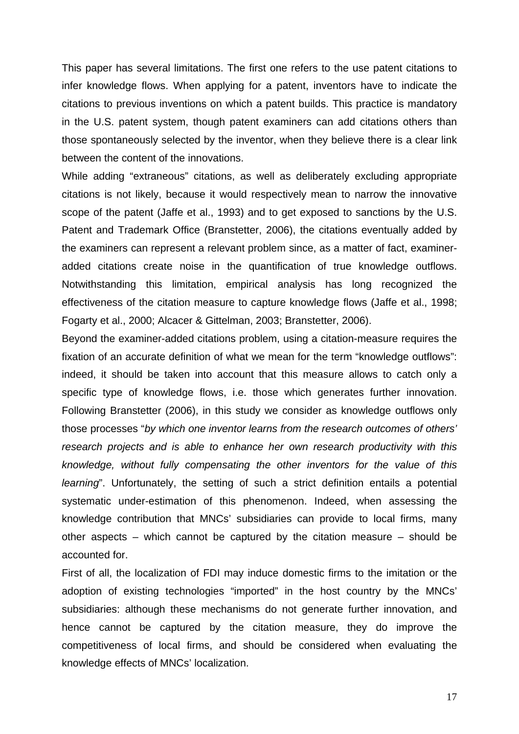This paper has several limitations. The first one refers to the use patent citations to infer knowledge flows. When applying for a patent, inventors have to indicate the citations to previous inventions on which a patent builds. This practice is mandatory in the U.S. patent system, though patent examiners can add citations others than those spontaneously selected by the inventor, when they believe there is a clear link between the content of the innovations.

While adding "extraneous" citations, as well as deliberately excluding appropriate citations is not likely, because it would respectively mean to narrow the innovative scope of the patent (Jaffe et al., 1993) and to get exposed to sanctions by the U.S. Patent and Trademark Office (Branstetter, 2006), the citations eventually added by the examiners can represent a relevant problem since, as a matter of fact, examineradded citations create noise in the quantification of true knowledge outflows. Notwithstanding this limitation, empirical analysis has long recognized the effectiveness of the citation measure to capture knowledge flows (Jaffe et al., 1998; Fogarty et al., 2000; Alcacer & Gittelman, 2003; Branstetter, 2006).

Beyond the examiner-added citations problem, using a citation-measure requires the fixation of an accurate definition of what we mean for the term "knowledge outflows": indeed, it should be taken into account that this measure allows to catch only a specific type of knowledge flows, i.e. those which generates further innovation. Following Branstetter (2006), in this study we consider as knowledge outflows only those processes "*by which one inventor learns from the research outcomes of others' research projects and is able to enhance her own research productivity with this knowledge, without fully compensating the other inventors for the value of this learning*". Unfortunately, the setting of such a strict definition entails a potential systematic under-estimation of this phenomenon. Indeed, when assessing the knowledge contribution that MNCs' subsidiaries can provide to local firms, many other aspects – which cannot be captured by the citation measure – should be accounted for.

First of all, the localization of FDI may induce domestic firms to the imitation or the adoption of existing technologies "imported" in the host country by the MNCs' subsidiaries: although these mechanisms do not generate further innovation, and hence cannot be captured by the citation measure, they do improve the competitiveness of local firms, and should be considered when evaluating the knowledge effects of MNCs' localization.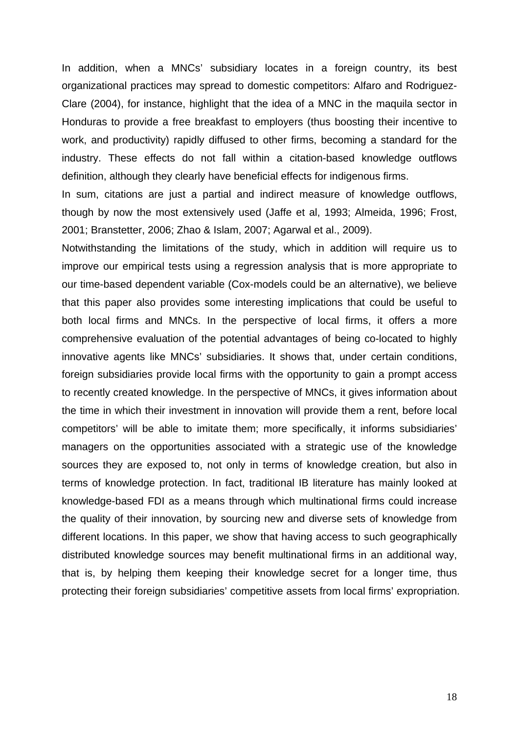In addition, when a MNCs' subsidiary locates in a foreign country, its best organizational practices may spread to domestic competitors: Alfaro and Rodriguez-Clare (2004), for instance, highlight that the idea of a MNC in the maquila sector in Honduras to provide a free breakfast to employers (thus boosting their incentive to work, and productivity) rapidly diffused to other firms, becoming a standard for the industry. These effects do not fall within a citation-based knowledge outflows definition, although they clearly have beneficial effects for indigenous firms.

In sum, citations are just a partial and indirect measure of knowledge outflows, though by now the most extensively used (Jaffe et al, 1993; Almeida, 1996; Frost, 2001; Branstetter, 2006; Zhao & Islam, 2007; Agarwal et al., 2009).

Notwithstanding the limitations of the study, which in addition will require us to improve our empirical tests using a regression analysis that is more appropriate to our time-based dependent variable (Cox-models could be an alternative), we believe that this paper also provides some interesting implications that could be useful to both local firms and MNCs. In the perspective of local firms, it offers a more comprehensive evaluation of the potential advantages of being co-located to highly innovative agents like MNCs' subsidiaries. It shows that, under certain conditions, foreign subsidiaries provide local firms with the opportunity to gain a prompt access to recently created knowledge. In the perspective of MNCs, it gives information about the time in which their investment in innovation will provide them a rent, before local competitors' will be able to imitate them; more specifically, it informs subsidiaries' managers on the opportunities associated with a strategic use of the knowledge sources they are exposed to, not only in terms of knowledge creation, but also in terms of knowledge protection. In fact, traditional IB literature has mainly looked at knowledge-based FDI as a means through which multinational firms could increase the quality of their innovation, by sourcing new and diverse sets of knowledge from different locations. In this paper, we show that having access to such geographically distributed knowledge sources may benefit multinational firms in an additional way, that is, by helping them keeping their knowledge secret for a longer time, thus protecting their foreign subsidiaries' competitive assets from local firms' expropriation.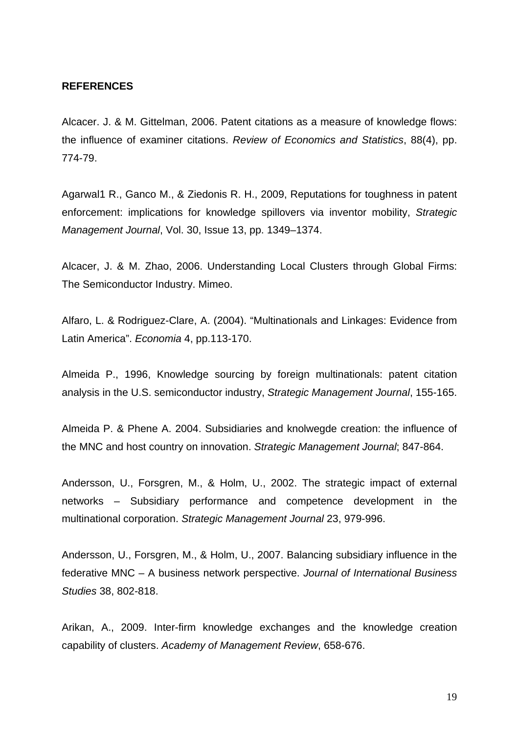#### **REFERENCES**

Alcacer. J. & M. Gittelman, 2006. Patent citations as a measure of knowledge flows: the influence of examiner citations. *Review of Economics and Statistics*, 88(4), pp. 774-79.

Agarwal1 R., Ganco M., & Ziedonis R. H., 2009, Reputations for toughness in patent enforcement: implications for knowledge spillovers via inventor mobility, *Strategic Management Journal*, Vol. 30, Issue 13, pp. 1349–1374.

Alcacer, J. & M. Zhao, 2006. Understanding Local Clusters through Global Firms: The Semiconductor Industry. Mimeo.

Alfaro, L. & Rodriguez-Clare, A. (2004). "Multinationals and Linkages: Evidence from Latin America". *Economia* 4, pp.113-170.

Almeida P., 1996, Knowledge sourcing by foreign multinationals: patent citation analysis in the U.S. semiconductor industry, *Strategic Management Journal*, 155-165.

Almeida P. & Phene A. 2004. Subsidiaries and knolwegde creation: the influence of the MNC and host country on innovation. *Strategic Management Journal*; 847-864.

Andersson, U., Forsgren, M., & Holm, U., 2002. The strategic impact of external networks – Subsidiary performance and competence development in the multinational corporation. *Strategic Management Journal* 23, 979-996.

Andersson, U., Forsgren, M., & Holm, U., 2007. Balancing subsidiary influence in the federative MNC – A business network perspective. *Journal of International Business Studies* 38, 802-818.

Arikan, A., 2009. Inter-firm knowledge exchanges and the knowledge creation capability of clusters. *Academy of Management Review*, 658-676.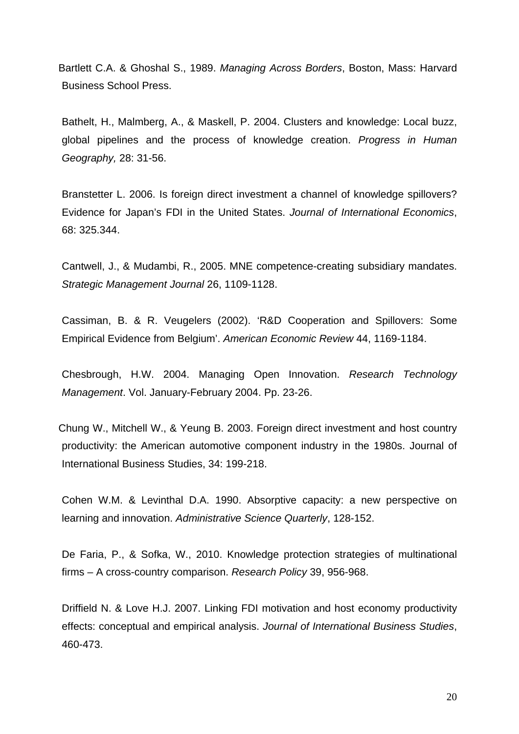Bartlett C.A. & Ghoshal S., 1989. *Managing Across Borders*, Boston, Mass: Harvard Business School Press.

Bathelt, H., Malmberg, A., & Maskell, P. 2004. Clusters and knowledge: Local buzz, global pipelines and the process of knowledge creation. *Progress in Human Geography,* 28: 31-56.

Branstetter L. 2006. Is foreign direct investment a channel of knowledge spillovers? Evidence for Japan's FDI in the United States. *Journal of International Economics*, 68: 325.344.

Cantwell, J., & Mudambi, R., 2005. MNE competence-creating subsidiary mandates. *Strategic Management Journal* 26, 1109-1128.

Cassiman, B. & R. Veugelers (2002). 'R&D Cooperation and Spillovers: Some Empirical Evidence from Belgium'. *American Economic Review* 44, 1169-1184.

Chesbrough, H.W. 2004. Managing Open Innovation. *Research Technology Management*. Vol. January-February 2004. Pp. 23-26.

Chung W., Mitchell W., & Yeung B. 2003. Foreign direct investment and host country productivity: the American automotive component industry in the 1980s. Journal of International Business Studies, 34: 199-218.

Cohen W.M. & Levinthal D.A. 1990. Absorptive capacity: a new perspective on learning and innovation. *Administrative Science Quarterly*, 128-152.

De Faria, P., & Sofka, W., 2010. Knowledge protection strategies of multinational firms – A cross-country comparison. *Research Policy* 39, 956-968.

Driffield N. & Love H.J. 2007. Linking FDI motivation and host economy productivity effects: conceptual and empirical analysis. *Journal of International Business Studies*, 460-473.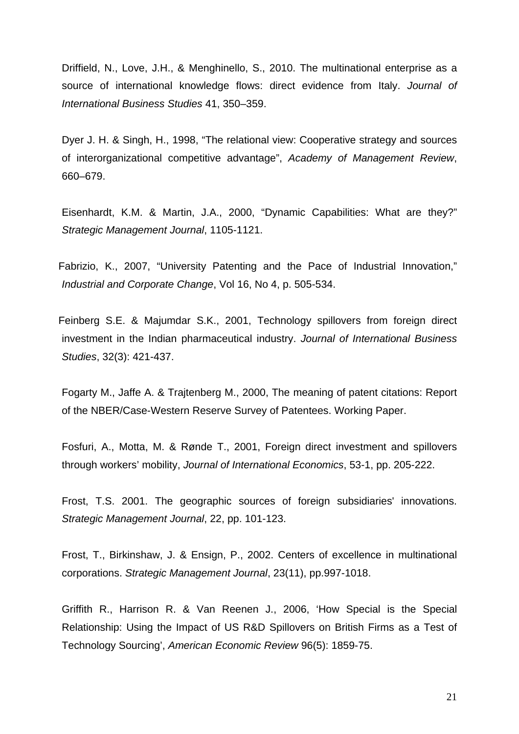Driffield, N., Love, J.H., & Menghinello, S., 2010. The multinational enterprise as a source of international knowledge flows: direct evidence from Italy. *Journal of International Business Studies* 41, 350–359.

Dyer J. H. & Singh, H., 1998, "The relational view: Cooperative strategy and sources of interorganizational competitive advantage", *Academy of Management Review*, 660–679.

Eisenhardt, K.M. & Martin, J.A., 2000, "Dynamic Capabilities: What are they?" *Strategic Management Journal*, 1105-1121.

Fabrizio, K., 2007, "University Patenting and the Pace of Industrial Innovation," *Industrial and Corporate Change*, Vol 16, No 4, p. 505-534.

Feinberg S.E. & Majumdar S.K., 2001, Technology spillovers from foreign direct investment in the Indian pharmaceutical industry. *Journal of International Business Studies*, 32(3): 421-437.

Fogarty M., Jaffe A. & Trajtenberg M., 2000, The meaning of patent citations: Report of the NBER/Case-Western Reserve Survey of Patentees. Working Paper.

Fosfuri, A., Motta, M. & Rønde T., 2001, Foreign direct investment and spillovers through workers' mobility, *Journal of International Economics*, 53-1, pp. 205-222.

Frost, T.S. 2001. The geographic sources of foreign subsidiaries' innovations. *Strategic Management Journal*, 22, pp. 101-123.

Frost, T., Birkinshaw, J. & Ensign, P., 2002. Centers of excellence in multinational corporations. *Strategic Management Journal*, 23(11), pp.997-1018.

Griffith R., Harrison R. & Van Reenen J., 2006, 'How Special is the Special Relationship: Using the Impact of US R&D Spillovers on British Firms as a Test of Technology Sourcing', *American Economic Review* 96(5): 1859-75.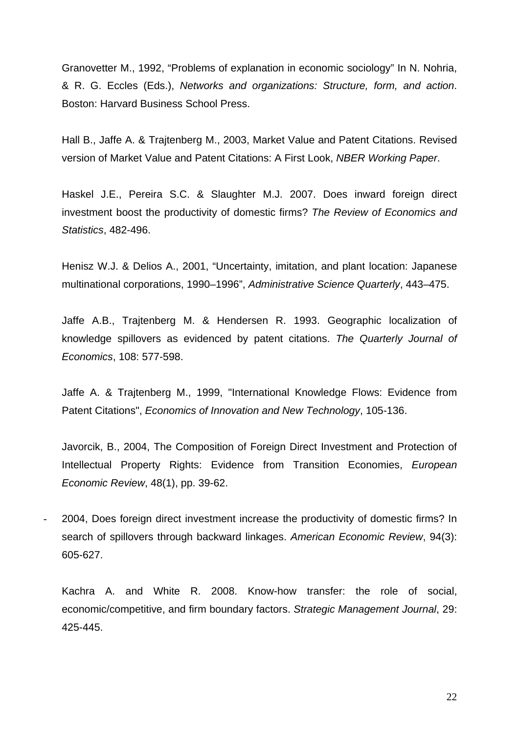Granovetter M., 1992, "Problems of explanation in economic sociology" In N. Nohria, & R. G. Eccles (Eds.), *Networks and organizations: Structure, form, and action*. Boston: Harvard Business School Press.

Hall B., Jaffe A. & Trajtenberg M., 2003, Market Value and Patent Citations. Revised version of Market Value and Patent Citations: A First Look, *NBER Working Paper*.

Haskel J.E., Pereira S.C. & Slaughter M.J. 2007. Does inward foreign direct investment boost the productivity of domestic firms? *The Review of Economics and Statistics*, 482-496.

Henisz W.J. & Delios A., 2001, "Uncertainty, imitation, and plant location: Japanese multinational corporations, 1990–1996", *Administrative Science Quarterly*, 443–475.

Jaffe A.B., Trajtenberg M. & Hendersen R. 1993. Geographic localization of knowledge spillovers as evidenced by patent citations. *The Quarterly Journal of Economics*, 108: 577-598.

Jaffe A. & Trajtenberg M., 1999, "International Knowledge Flows: Evidence from Patent Citations", *Economics of Innovation and New Technology*, 105-136.

Javorcik, B., 2004, The Composition of Foreign Direct Investment and Protection of Intellectual Property Rights: Evidence from Transition Economies, *European Economic Review*, 48(1), pp. 39-62.

- 2004, Does foreign direct investment increase the productivity of domestic firms? In search of spillovers through backward linkages. *American Economic Review*, 94(3): 605-627.

Kachra A. and White R. 2008. Know-how transfer: the role of social, economic/competitive, and firm boundary factors. *Strategic Management Journal*, 29: 425-445.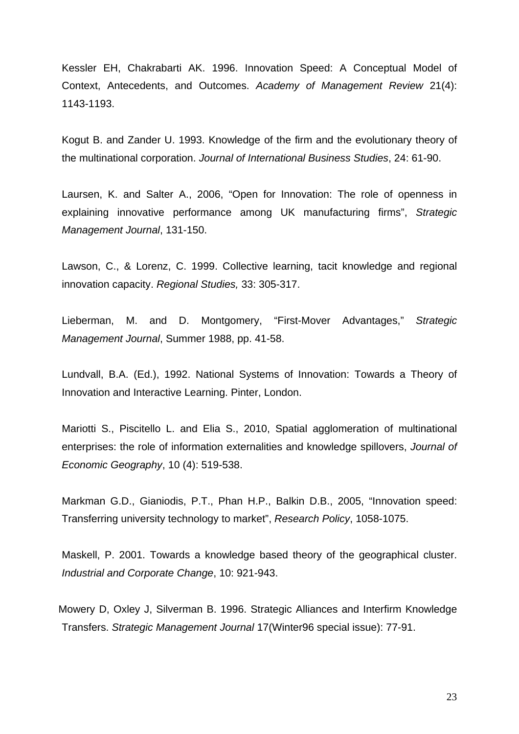Kessler EH, Chakrabarti AK. 1996. Innovation Speed: A Conceptual Model of Context, Antecedents, and Outcomes. *Academy of Management Review* 21(4): 1143-1193.

Kogut B. and Zander U. 1993. Knowledge of the firm and the evolutionary theory of the multinational corporation. *Journal of International Business Studies*, 24: 61-90.

Laursen, K. and Salter A., 2006, "Open for Innovation: The role of openness in explaining innovative performance among UK manufacturing firms", *Strategic Management Journal*, 131-150.

Lawson, C., & Lorenz, C. 1999. Collective learning, tacit knowledge and regional innovation capacity. *Regional Studies,* 33: 305-317.

Lieberman, M. and D. Montgomery, "First-Mover Advantages," *Strategic Management Journal*, Summer 1988, pp. 41-58.

Lundvall, B.A. (Ed.), 1992. National Systems of Innovation: Towards a Theory of Innovation and Interactive Learning. Pinter, London.

Mariotti S., Piscitello L. and Elia S., 2010, Spatial agglomeration of multinational enterprises: the role of information externalities and knowledge spillovers, *Journal of Economic Geography*, 10 (4): 519-538.

Markman G.D., Gianiodis, P.T., Phan H.P., Balkin D.B., 2005, "Innovation speed: Transferring university technology to market", *Research Policy*, 1058-1075.

Maskell, P. 2001. Towards a knowledge based theory of the geographical cluster. *Industrial and Corporate Change*, 10: 921-943.

Mowery D, Oxley J, Silverman B. 1996. Strategic Alliances and Interfirm Knowledge Transfers. *Strategic Management Journal* 17(Winter96 special issue): 77-91.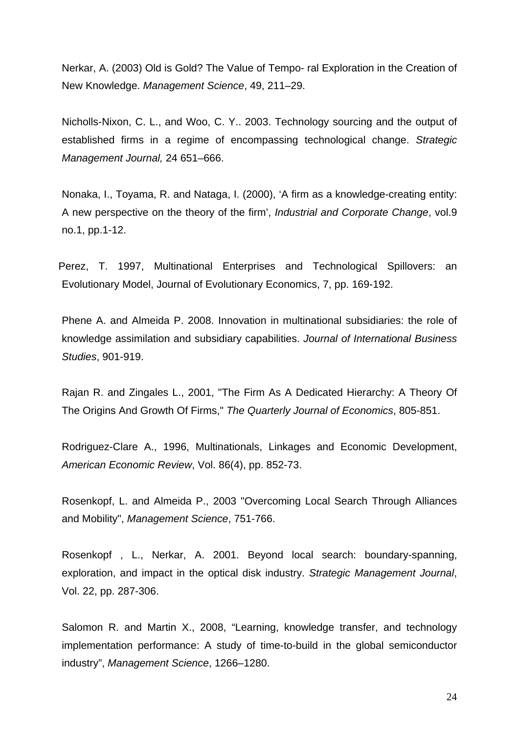Nerkar, A. (2003) Old is Gold? The Value of Tempo- ral Exploration in the Creation of New Knowledge. *Management Science*, 49, 211–29.

Nicholls-Nixon, C. L., and Woo, C. Y.. 2003. Technology sourcing and the output of established firms in a regime of encompassing technological change. *Strategic Management Journal,* 24 651–666.

Nonaka, I., Toyama, R. and Nataga, I. (2000), 'A firm as a knowledge-creating entity: A new perspective on the theory of the firm', *Industrial and Corporate Change*, vol.9 no.1, pp.1-12.

Perez, T. 1997, Multinational Enterprises and Technological Spillovers: an Evolutionary Model, Journal of Evolutionary Economics, 7, pp. 169-192.

Phene A. and Almeida P. 2008. Innovation in multinational subsidiaries: the role of knowledge assimilation and subsidiary capabilities. *Journal of International Business Studies*, 901-919.

Rajan R. and Zingales L., 2001, "The Firm As A Dedicated Hierarchy: A Theory Of The Origins And Growth Of Firms," *The Quarterly Journal of Economics*, 805-851.

Rodriguez-Clare A., 1996, Multinationals, Linkages and Economic Development, *American Economic Review*, Vol. 86(4), pp. 852-73.

Rosenkopf, L. and Almeida P., 2003 "Overcoming Local Search Through Alliances and Mobility", *Management Science*, 751-766.

Rosenkopf , L., Nerkar, A. 2001. Beyond local search: boundary-spanning, exploration, and impact in the optical disk industry. *Strategic Management Journal*, Vol. 22, pp. 287-306.

Salomon R. and Martin X., 2008, "Learning, knowledge transfer, and technology implementation performance: A study of time-to-build in the global semiconductor industry", *Management Science*, 1266–1280.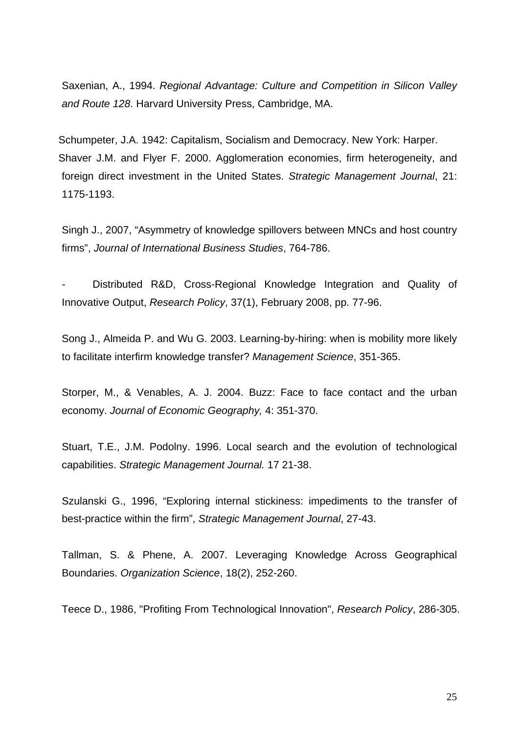Saxenian, A., 1994. *Regional Advantage: Culture and Competition in Silicon Valley and Route 128*. Harvard University Press, Cambridge, MA.

Schumpeter, J.A. 1942: Capitalism, Socialism and Democracy. New York: Harper. Shaver J.M. and Flyer F. 2000. Agglomeration economies, firm heterogeneity, and foreign direct investment in the United States. *Strategic Management Journal*, 21: 1175-1193.

Singh J., 2007, "Asymmetry of knowledge spillovers between MNCs and host country firms", *Journal of International Business Studies*, 764-786.

*-* Distributed R&D, Cross-Regional Knowledge Integration and Quality of Innovative Output, *Research Policy*, 37(1), February 2008, pp. 77-96.

Song J., Almeida P. and Wu G. 2003. Learning-by-hiring: when is mobility more likely to facilitate interfirm knowledge transfer? *Management Science*, 351-365.

Storper, M., & Venables, A. J. 2004. Buzz: Face to face contact and the urban economy. *Journal of Economic Geography,* 4: 351-370.

Stuart, T.E., J.M. Podolny. 1996. Local search and the evolution of technological capabilities. *Strategic Management Journal.* 17 21-38.

Szulanski G., 1996, "Exploring internal stickiness: impediments to the transfer of best-practice within the firm", *Strategic Management Journal*, 27-43.

Tallman, S. & Phene, A. 2007. Leveraging Knowledge Across Geographical Boundaries. *Organization Science*, 18(2), 252-260.

Teece D., 1986, "Profiting From Technological Innovation", *Research Policy*, 286-305.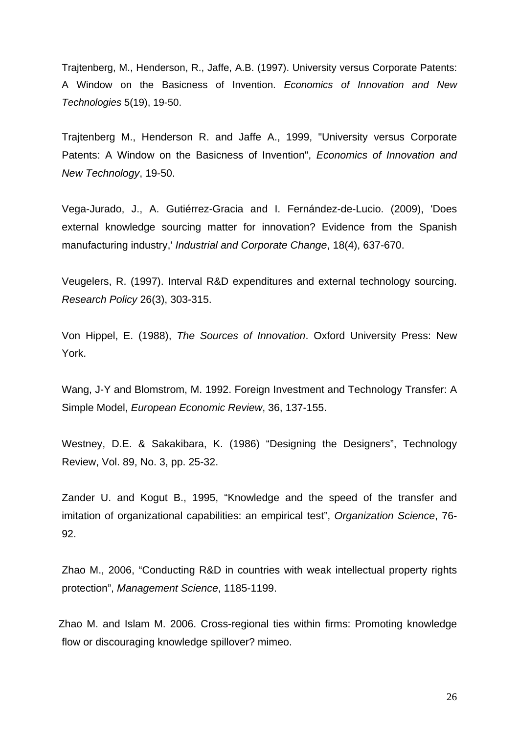Trajtenberg, M., Henderson, R., Jaffe, A.B. (1997). University versus Corporate Patents: A Window on the Basicness of Invention. *Economics of Innovation and New Technologies* 5(19), 19-50.

Trajtenberg M., Henderson R. and Jaffe A., 1999, "University versus Corporate Patents: A Window on the Basicness of Invention", *Economics of Innovation and New Technology*, 19-50.

Vega-Jurado, J., A. Gutiérrez-Gracia and I. Fernández-de-Lucio. (2009), 'Does external knowledge sourcing matter for innovation? Evidence from the Spanish manufacturing industry,' *Industrial and Corporate Change*, 18(4), 637-670.

Veugelers, R. (1997). Interval R&D expenditures and external technology sourcing. *Research Policy* 26(3), 303-315.

Von Hippel, E. (1988), *The Sources of Innovation*. Oxford University Press: New York.

Wang, J-Y and Blomstrom, M. 1992. Foreign Investment and Technology Transfer: A Simple Model, *European Economic Review*, 36, 137-155.

Westney, D.E. & Sakakibara, K. (1986) "Designing the Designers", Technology Review, Vol. 89, No. 3, pp. 25-32.

Zander U. and Kogut B., 1995, "Knowledge and the speed of the transfer and imitation of organizational capabilities: an empirical test", *Organization Science*, 76- 92.

Zhao M., 2006, "Conducting R&D in countries with weak intellectual property rights protection", *Management Science*, 1185-1199.

Zhao M. and Islam M. 2006. Cross-regional ties within firms: Promoting knowledge flow or discouraging knowledge spillover? mimeo.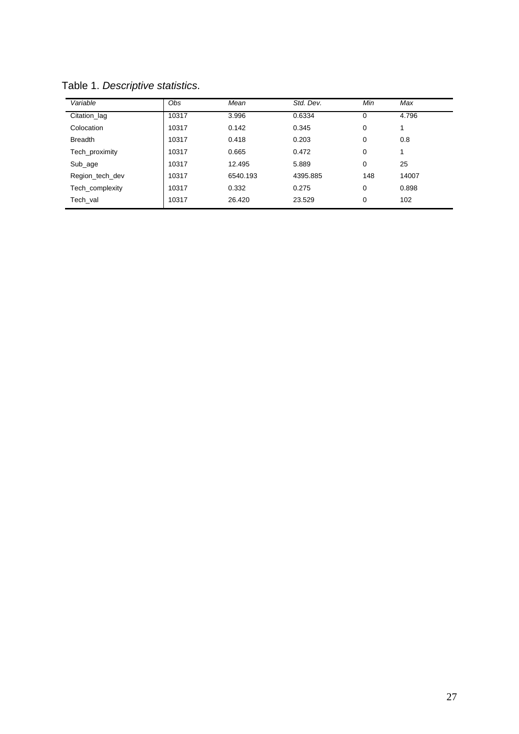| Variable        | Obs   | Mean     | Std. Dev. | Min         | Max   |
|-----------------|-------|----------|-----------|-------------|-------|
| Citation_lag    | 10317 | 3.996    | 0.6334    | $\mathbf 0$ | 4.796 |
| Colocation      | 10317 | 0.142    | 0.345     | 0           | -1    |
| <b>Breadth</b>  | 10317 | 0.418    | 0.203     | 0           | 0.8   |
| Tech proximity  | 10317 | 0.665    | 0.472     | 0           |       |
| Sub_age         | 10317 | 12.495   | 5.889     | 0           | 25    |
| Region tech dev | 10317 | 6540.193 | 4395.885  | 148         | 14007 |
| Tech_complexity | 10317 | 0.332    | 0.275     | $\mathbf 0$ | 0.898 |
| Tech val        | 10317 | 26.420   | 23.529    | 0           | 102   |

Table 1. *Descriptive statistics*.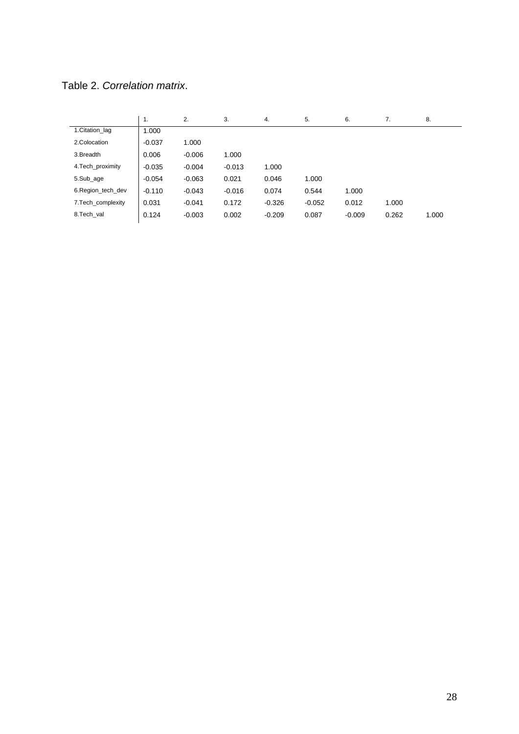Table 2. *Correlation matrix*.

|                    | 1.       | 2.       | 3.       | 4.       | 5.       | 6.       | 7.    | 8.    |
|--------------------|----------|----------|----------|----------|----------|----------|-------|-------|
| 1. Citation lag    | 1.000    |          |          |          |          |          |       |       |
| 2.Colocation       | $-0.037$ | 1.000    |          |          |          |          |       |       |
| 3.Breadth          | 0.006    | $-0.006$ | 1.000    |          |          |          |       |       |
| 4. Tech_proximity  | $-0.035$ | $-0.004$ | $-0.013$ | 1.000    |          |          |       |       |
| 5.Sub_age          | $-0.054$ | $-0.063$ | 0.021    | 0.046    | 1.000    |          |       |       |
| 6. Region tech dev | $-0.110$ | $-0.043$ | $-0.016$ | 0.074    | 0.544    | 1.000    |       |       |
| 7. Tech complexity | 0.031    | $-0.041$ | 0.172    | $-0.326$ | $-0.052$ | 0.012    | 1.000 |       |
| 8.Tech val         | 0.124    | $-0.003$ | 0.002    | $-0.209$ | 0.087    | $-0.009$ | 0.262 | 1.000 |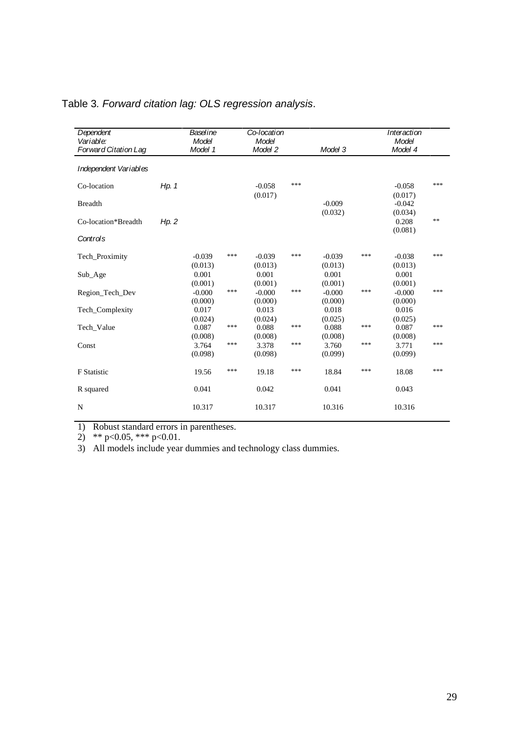| Dependent<br>Variable:<br>Forward Citation Lag |       | Baseline<br>Model<br>Model 1 |     | Co-location<br>Model<br>Model 2 |     | Model 3             |     | Interaction<br>Model<br>Model 4 |            |
|------------------------------------------------|-------|------------------------------|-----|---------------------------------|-----|---------------------|-----|---------------------------------|------------|
| Independent Variables                          |       |                              |     |                                 |     |                     |     |                                 |            |
| Co-location                                    | Hp. 1 |                              |     | $-0.058$<br>(0.017)             | *** |                     |     | $-0.058$<br>(0.017)             | ***        |
| <b>Breadth</b>                                 |       |                              |     |                                 |     | $-0.009$<br>(0.032) |     | $-0.042$<br>(0.034)             |            |
| Co-location*Breadth                            | Hp. 2 |                              |     |                                 |     |                     |     | 0.208<br>(0.081)                | $\ast\ast$ |
| Controls                                       |       |                              |     |                                 |     |                     |     |                                 |            |
| Tech_Proximity                                 |       | $-0.039$<br>(0.013)          | *** | $-0.039$<br>(0.013)             | *** | $-0.039$<br>(0.013) | *** | $-0.038$<br>(0.013)             | ***        |
| Sub_Age                                        |       | 0.001<br>(0.001)             |     | 0.001<br>(0.001)                |     | 0.001<br>(0.001)    |     | 0.001<br>(0.001)                |            |
| Region Tech Dev                                |       | $-0.000$<br>(0.000)          | *** | $-0.000$<br>(0.000)             | *** | $-0.000$<br>(0.000) | *** | $-0.000$<br>(0.000)             | ***        |
| Tech_Complexity                                |       | 0.017<br>(0.024)             |     | 0.013<br>(0.024)                |     | 0.018<br>(0.025)    |     | 0.016<br>(0.025)                |            |
| Tech Value                                     |       | 0.087<br>(0.008)             | *** | 0.088<br>(0.008)                | *** | 0.088<br>(0.008)    | *** | 0.087<br>(0.008)                | ***        |
| Const                                          |       | 3.764<br>(0.098)             | *** | 3.378<br>(0.098)                | *** | 3.760<br>(0.099)    | *** | 3.771<br>(0.099)                | ***        |
| <b>F</b> Statistic                             |       | 19.56                        | *** | 19.18                           | *** | 18.84               | *** | 18.08                           | ***        |
| R squared                                      |       | 0.041                        |     | 0.042                           |     | 0.041               |     | 0.043                           |            |
| N                                              |       | 10.317                       |     | 10.317                          |     | 10.316              |     | 10.316                          |            |

## Table 3*. Forward citation lag: OLS regression analysis*.

1) Robust standard errors in parentheses.

2) \*\*  $p<0.05$ , \*\*\*  $p<0.01$ .

3) All models include year dummies and technology class dummies.